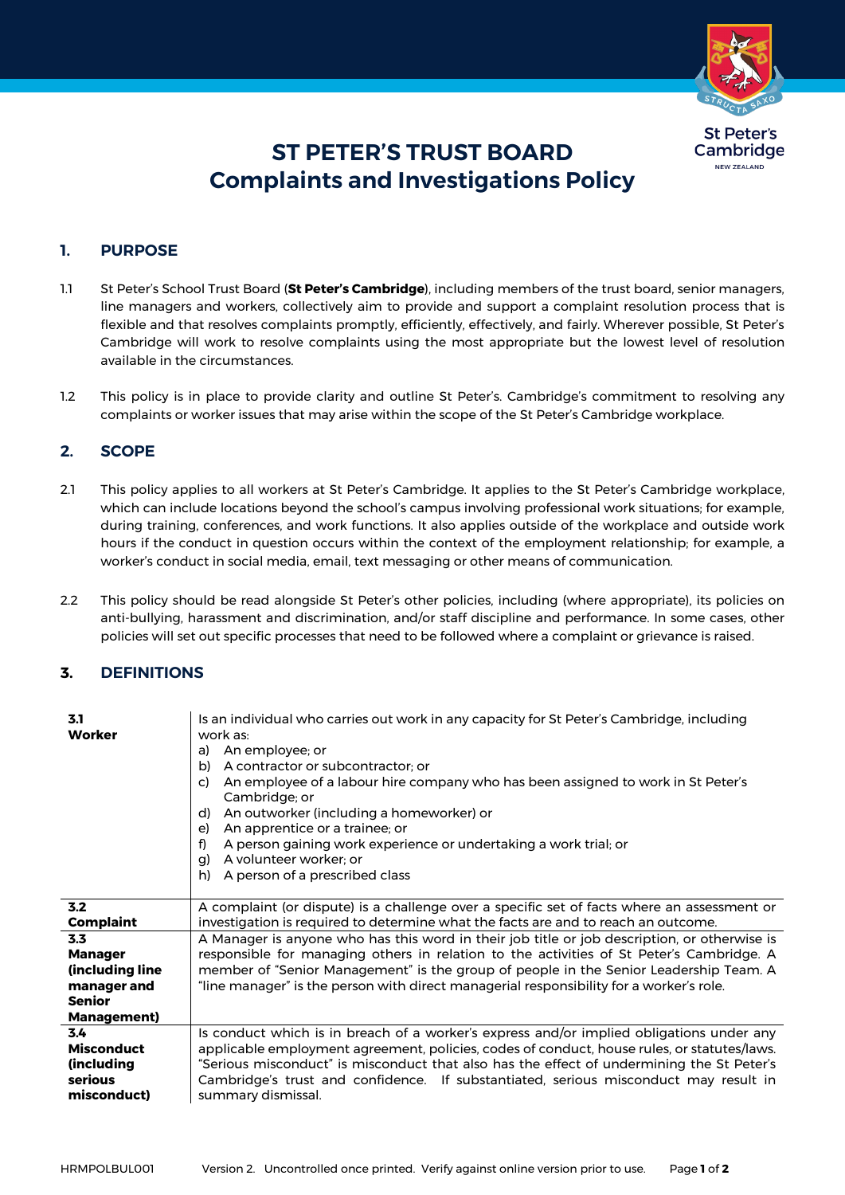

# **ST PETER'S TRUST BOARD Complaints and Investigations Policy**

# **1. PURPOSE**

- 1.1 St Peter's School Trust Board (**St Peter's Cambridge**), including members of the trust board, senior managers, line managers and workers, collectively aim to provide and support a complaint resolution process that is flexible and that resolves complaints promptly, efficiently, effectively, and fairly. Wherever possible, St Peter's Cambridge will work to resolve complaints using the most appropriate but the lowest level of resolution available in the circumstances.
- 1.2 This policy is in place to provide clarity and outline St Peter's. Cambridge's commitment to resolving any complaints or worker issues that may arise within the scope of the St Peter's Cambridge workplace.

## **2. SCOPE**

- 2.1 This policy applies to all workers at St Peter's Cambridge. It applies to the St Peter's Cambridge workplace, which can include locations beyond the school's campus involving professional work situations; for example, during training, conferences, and work functions. It also applies outside of the workplace and outside work hours if the conduct in question occurs within the context of the employment relationship; for example, a worker's conduct in social media, email, text messaging or other means of communication.
- 2.2 This policy should be read alongside St Peter's other policies, including (where appropriate), its policies on anti-bullying, harassment and discrimination, and/or staff discipline and performance. In some cases, other policies will set out specific processes that need to be followed where a complaint or grievance is raised.

# **3. DEFINITIONS**

| 3.1<br>Worker                                                                                   | Is an individual who carries out work in any capacity for St Peter's Cambridge, including<br>work as:<br>An employee; or<br>a)<br>A contractor or subcontractor; or<br>b)<br>An employee of a labour hire company who has been assigned to work in St Peter's<br>C)<br>Cambridge; or<br>An outworker (including a homeworker) or<br>d)<br>An apprentice or a trainee; or<br>e)<br>A person gaining work experience or undertaking a work trial; or<br>f)<br>A volunteer worker; or<br>q)<br>h)<br>A person of a prescribed class |
|-------------------------------------------------------------------------------------------------|----------------------------------------------------------------------------------------------------------------------------------------------------------------------------------------------------------------------------------------------------------------------------------------------------------------------------------------------------------------------------------------------------------------------------------------------------------------------------------------------------------------------------------|
| 3.2                                                                                             | A complaint (or dispute) is a challenge over a specific set of facts where an assessment or                                                                                                                                                                                                                                                                                                                                                                                                                                      |
| <b>Complaint</b>                                                                                | investigation is required to determine what the facts are and to reach an outcome.                                                                                                                                                                                                                                                                                                                                                                                                                                               |
| 3.3<br><b>Manager</b><br>(including line<br>manager and<br><b>Senior</b><br><b>Management</b> ) | A Manager is anyone who has this word in their job title or job description, or otherwise is<br>responsible for managing others in relation to the activities of St Peter's Cambridge. A<br>member of "Senior Management" is the group of people in the Senior Leadership Team. A<br>"line manager" is the person with direct managerial responsibility for a worker's role.                                                                                                                                                     |
| 3.4                                                                                             | Is conduct which is in breach of a worker's express and/or implied obligations under any                                                                                                                                                                                                                                                                                                                                                                                                                                         |
| <b>Misconduct</b>                                                                               | applicable employment agreement, policies, codes of conduct, house rules, or statutes/laws.                                                                                                                                                                                                                                                                                                                                                                                                                                      |
| (including                                                                                      | "Serious misconduct" is misconduct that also has the effect of undermining the St Peter's                                                                                                                                                                                                                                                                                                                                                                                                                                        |
| serious                                                                                         | Cambridge's trust and confidence. If substantiated, serious misconduct may result in                                                                                                                                                                                                                                                                                                                                                                                                                                             |
| misconduct)                                                                                     | summary dismissal.                                                                                                                                                                                                                                                                                                                                                                                                                                                                                                               |